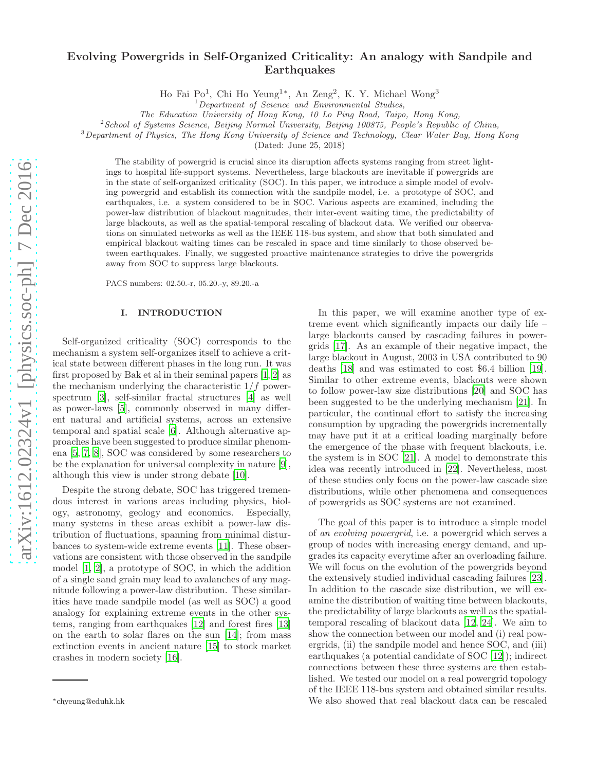# Evolving Powergrids in Self-Organized Criticality: An analogy with Sandpile and **Earthquakes**

Ho Fai Po<sup>1</sup>, Chi Ho Yeung<sup>1∗</sup>, An Zeng<sup>2</sup>, K. Y. Michael Wong<sup>3</sup>

The Education University of Hong Kong, 10 Lo Ping Road, Taipo, Hong Kong,

<sup>2</sup>School of Systems Science, Beijing Normal University, Beijing 100875, People's Republic of China,

<sup>3</sup>Department of Physics, The Hong Kong University of Science and Technology, Clear Water Bay, Hong Kong

(Dated: June 25, 2018)

The stability of powergrid is crucial since its disruption affects systems ranging from street lightings to hospital life-support systems. Nevertheless, large blackouts are inevitable if powergrids are in the state of self-organized criticality (SOC). In this paper, we introduce a simple model of evolving powergrid and establish its connection with the sandpile model, i.e. a prototype of SOC, and earthquakes, i.e. a system considered to be in SOC. Various aspects are examined, including the power-law distribution of blackout magnitudes, their inter-event waiting time, the predictability of large blackouts, as well as the spatial-temporal rescaling of blackout data. We verified our observations on simulated networks as well as the IEEE 118-bus system, and show that both simulated and empirical blackout waiting times can be rescaled in space and time similarly to those observed between earthquakes. Finally, we suggested proactive maintenance strategies to drive the powergrids away from SOC to suppress large blackouts.

PACS numbers: 02.50.-r, 05.20.-y, 89.20.-a

### I. INTRODUCTION

Self-organized criticality (SOC) corresponds to the mechanism a system self-organizes itself to achieve a critical state between different phases in the long run. It was first proposed by Bak et al in their seminal papers [\[1](#page-9-0), [2](#page-9-1)] as the mechanism underlying the characteristic  $1/f$  powerspectrum [\[3](#page-9-2)], self-similar fractal structures [\[4](#page-9-3)] as well as power-laws [\[5](#page-9-4)], commonly observed in many different natural and artificial systems, across an extensive temporal and spatial scale [\[6](#page-9-5)]. Although alternative approaches have been suggested to produce similar phenomena [\[5,](#page-9-4) [7,](#page-9-6) [8\]](#page-9-7), SOC was considered by some researchers to be the explanation for universal complexity in nature [\[9\]](#page-9-8), although this view is under strong debate [\[10\]](#page-9-9).

Despite the strong debate, SOC has triggered tremendous interest in various areas including physics, biology, astronomy, geology and economics. Especially, many systems in these areas exhibit a power-law distribution of fluctuations, spanning from minimal disturbances to system-wide extreme events [\[11\]](#page-9-10). These observations are consistent with those observed in the sandpile model [\[1,](#page-9-0) [2\]](#page-9-1), a prototype of SOC, in which the addition of a single sand grain may lead to avalanches of any magnitude following a power-law distribution. These similarities have made sandpile model (as well as SOC) a good analogy for explaining extreme events in the other systems, ranging from earthquakes [\[12\]](#page-9-11) and forest fires [\[13](#page-9-12)] on the earth to solar flares on the sun [\[14](#page-9-13)]; from mass extinction events in ancient nature [\[15\]](#page-9-14) to stock market crashes in modern society [\[16](#page-9-15)].

In this paper, we will examine another type of extreme event which significantly impacts our daily life – large blackouts caused by cascading failures in powergrids [\[17\]](#page-9-16). As an example of their negative impact, the large blackout in August, 2003 in USA contributed to 90 deaths [\[18](#page-9-17)] and was estimated to cost \$6.4 billion [\[19\]](#page-9-18). Similar to other extreme events, blackouts were shown to follow power-law size distributions [\[20](#page-10-0)] and SOC has been suggested to be the underlying mechanism [\[21\]](#page-10-1). In particular, the continual effort to satisfy the increasing consumption by upgrading the powergrids incrementally may have put it at a critical loading marginally before the emergence of the phase with frequent blackouts, i.e. the system is in SOC [\[21\]](#page-10-1). A model to demonstrate this idea was recently introduced in [\[22](#page-10-2)]. Nevertheless, most of these studies only focus on the power-law cascade size distributions, while other phenomena and consequences of powergrids as SOC systems are not examined.

The goal of this paper is to introduce a simple model of an evolving powergrid, i.e. a powergrid which serves a group of nodes with increasing energy demand, and upgrades its capacity everytime after an overloading failure. We will focus on the evolution of the powergrids beyond the extensively studied individual cascading failures [\[23\]](#page-10-3). In addition to the cascade size distribution, we will examine the distribution of waiting time between blackouts, the predictability of large blackouts as well as the spatialtemporal rescaling of blackout data [\[12,](#page-9-11) [24](#page-10-4)]. We aim to show the connection between our model and (i) real powergrids, (ii) the sandpile model and hence SOC, and (iii) earthquakes (a potential candidate of SOC [\[12\]](#page-9-11)); indirect connections between these three systems are then established. We tested our model on a real powergrid topology of the IEEE 118-bus system and obtained similar results. We also showed that real blackout data can be rescaled

 $1$ Department of Science and Environmental Studies,

<sup>∗</sup>chyeung@eduhk.hk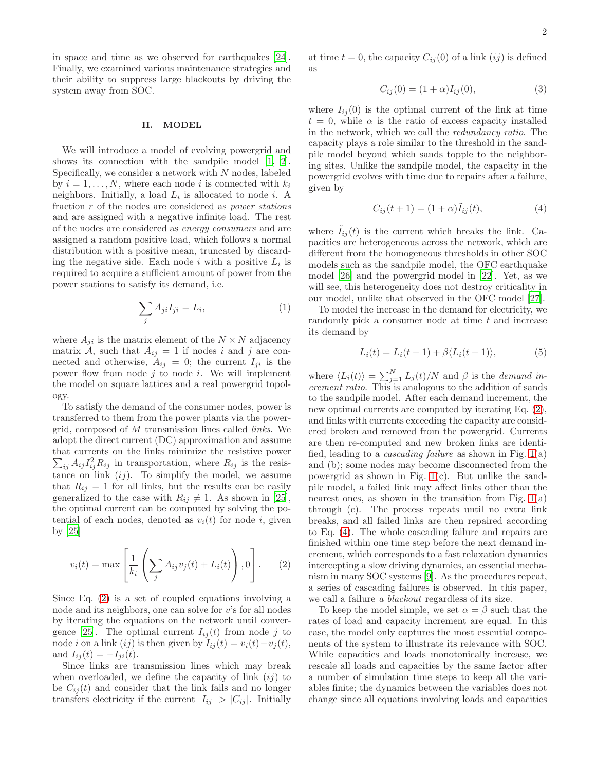in space and time as we observed for earthquakes [\[24\]](#page-10-4). Finally, we examined various maintenance strategies and their ability to suppress large blackouts by driving the system away from SOC.

#### II. MODEL

We will introduce a model of evolving powergrid and shows its connection with the sandpile model [\[1,](#page-9-0) [2\]](#page-9-1). Specifically, we consider a network with N nodes, labeled by  $i = 1, ..., N$ , where each node i is connected with  $k_i$ neighbors. Initially, a load  $L_i$  is allocated to node i. A fraction r of the nodes are considered as power stations and are assigned with a negative infinite load. The rest of the nodes are considered as energy consumers and are assigned a random positive load, which follows a normal distribution with a positive mean, truncated by discarding the negative side. Each node  $i$  with a positive  $L_i$  is required to acquire a sufficient amount of power from the power stations to satisfy its demand, i.e.

$$
\sum_{j} A_{ji} I_{ji} = L_i,\tag{1}
$$

where  $A_{ji}$  is the matrix element of the  $N \times N$  adjacency matrix A, such that  $A_{ij} = 1$  if nodes i and j are connected and otherwise,  $A_{ij} = 0$ ; the current  $I_{ji}$  is the power flow from node  $j$  to node  $i$ . We will implement the model on square lattices and a real powergrid topology.

To satisfy the demand of the consumer nodes, power is transferred to them from the power plants via the powergrid, composed of M transmission lines called links. We adopt the direct current (DC) approximation and assume that currents on the links minimize the resistive power  $\sum_{ij} A_{ij} I_{ij}^2 R_{ij}$  in transportation, where  $R_{ij}$  is the resistance on link  $(ij)$ . To simplify the model, we assume that  $R_{ij} = 1$  for all links, but the results can be easily generalized to the case with  $R_{ij} \neq 1$ . As shown in [\[25\]](#page-10-5), the optimal current can be computed by solving the potential of each nodes, denoted as  $v_i(t)$  for node i, given by [\[25\]](#page-10-5)

$$
v_i(t) = \max\left[\frac{1}{k_i}\left(\sum_j A_{ij}v_j(t) + L_i(t)\right), 0\right].
$$
 (2)

Since Eq. [\(2\)](#page-1-0) is a set of coupled equations involving a node and its neighbors, one can solve for v's for all nodes by iterating the equations on the network until conver-gence [\[25](#page-10-5)]. The optimal current  $I_{ij}(t)$  from node j to node *i* on a link  $(ij)$  is then given by  $I_{ij}(t) = v_i(t) - v_j(t)$ , and  $I_{ij}(t) = -I_{ji}(t)$ .

Since links are transmission lines which may break when overloaded, we define the capacity of link  $(ij)$  to be  $C_{ii}(t)$  and consider that the link fails and no longer transfers electricity if the current  $|I_{ij}| > |C_{ij}|$ . Initially at time  $t = 0$ , the capacity  $C_{ij}(0)$  of a link  $(ij)$  is defined as

$$
C_{ij}(0) = (1 + \alpha)I_{ij}(0),
$$
\n(3)

where  $I_{ij}(0)$  is the optimal current of the link at time  $t = 0$ , while  $\alpha$  is the ratio of excess capacity installed in the network, which we call the redundancy ratio. The capacity plays a role similar to the threshold in the sandpile model beyond which sands topple to the neighboring sites. Unlike the sandpile model, the capacity in the powergrid evolves with time due to repairs after a failure, given by

<span id="page-1-1"></span>
$$
C_{ij}(t+1) = (1+\alpha)\tilde{I}_{ij}(t),
$$
\n(4)

where  $I_{ij}(t)$  is the current which breaks the link. Capacities are heterogeneous across the network, which are different from the homogeneous thresholds in other SOC models such as the sandpile model, the OFC earthquake model [\[26\]](#page-10-6) and the powergrid model in [\[22](#page-10-2)]. Yet, as we will see, this heterogeneity does not destroy criticality in our model, unlike that observed in the OFC model [\[27\]](#page-10-7).

To model the increase in the demand for electricity, we randomly pick a consumer node at time  $t$  and increase its demand by

$$
L_i(t) = L_i(t-1) + \beta \langle L_i(t-1) \rangle,
$$
\n(5)

where  $\langle L_i(t) \rangle = \sum_{j=1}^{N} L_j(t)/N$  and  $\beta$  is the *demand in*crement ratio. This is analogous to the addition of sands to the sandpile model. After each demand increment, the new optimal currents are computed by iterating Eq. [\(2\)](#page-1-0), and links with currents exceeding the capacity are considered broken and removed from the powergrid. Currents are then re-computed and new broken links are identified, leading to a *cascading failure* as shown in Fig.  $1(a)$  $1(a)$ and (b); some nodes may become disconnected from the powergrid as shown in Fig.  $1(c)$  $1(c)$ . But unlike the sandpile model, a failed link may affect links other than the nearest ones, as shown in the transition from Fig.  $1(a)$  $1(a)$ through (c). The process repeats until no extra link breaks, and all failed links are then repaired according to Eq. [\(4\)](#page-1-1). The whole cascading failure and repairs are finished within one time step before the next demand increment, which corresponds to a fast relaxation dynamics intercepting a slow driving dynamics, an essential mechanism in many SOC systems [\[9](#page-9-8)]. As the procedures repeat, a series of cascading failures is observed. In this paper, we call a failure a blackout regardless of its size.

<span id="page-1-0"></span>To keep the model simple, we set  $\alpha = \beta$  such that the rates of load and capacity increment are equal. In this case, the model only captures the most essential components of the system to illustrate its relevance with SOC. While capacities and loads monotonically increase, we rescale all loads and capacities by the same factor after a number of simulation time steps to keep all the variables finite; the dynamics between the variables does not change since all equations involving loads and capacities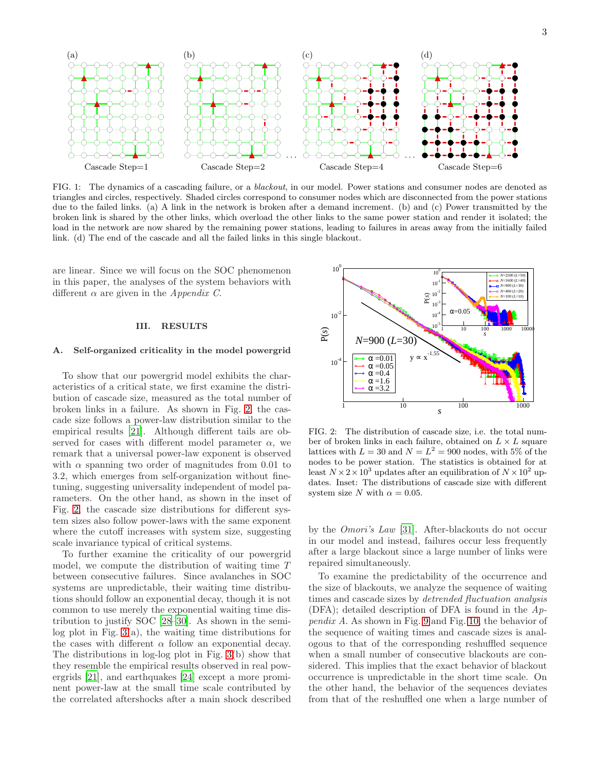

<span id="page-2-0"></span>FIG. 1: The dynamics of a cascading failure, or a blackout, in our model. Power stations and consumer nodes are denoted as triangles and circles, respectively. Shaded circles correspond to consumer nodes which are disconnected from the power stations due to the failed links. (a) A link in the network is broken after a demand increment. (b) and (c) Power transmitted by the broken link is shared by the other links, which overload the other links to the same power station and render it isolated; the load in the network are now shared by the remaining power stations, leading to failures in areas away from the initially failed link. (d) The end of the cascade and all the failed links in this single blackout.

are linear. Since we will focus on the SOC phenomenon in this paper, the analyses of the system behaviors with different  $\alpha$  are given in the *Appendix C*.

## III. RESULTS

### A. Self-organized criticality in the model powergrid

To show that our powergrid model exhibits the characteristics of a critical state, we first examine the distribution of cascade size, measured as the total number of broken links in a failure. As shown in Fig. [2,](#page-2-1) the cascade size follows a power-law distribution similar to the empirical results [\[21](#page-10-1)]. Although different tails are observed for cases with different model parameter  $\alpha$ , we remark that a universal power-law exponent is observed with  $\alpha$  spanning two order of magnitudes from 0.01 to 3.2, which emerges from self-organization without finetuning, suggesting universality independent of model parameters. On the other hand, as shown in the inset of Fig. [2,](#page-2-1) the cascade size distributions for different system sizes also follow power-laws with the same exponent where the cutoff increases with system size, suggesting scale invariance typical of critical systems.

To further examine the criticality of our powergrid model, we compute the distribution of waiting time T between consecutive failures. Since avalanches in SOC systems are unpredictable, their waiting time distributions should follow an exponential decay, though it is not common to use merely the exponential waiting time distribution to justify SOC [\[28](#page-10-8)[–30\]](#page-10-9). As shown in the semilog plot in Fig.  $3(a)$  $3(a)$ , the waiting time distributions for the cases with different  $\alpha$  follow an exponential decay. The distributions in log-log plot in Fig. [3\(](#page-3-0)b) show that they resemble the empirical results observed in real powergrids [\[21\]](#page-10-1), and earthquakes [\[24\]](#page-10-4) except a more prominent power-law at the small time scale contributed by the correlated aftershocks after a main shock described



<span id="page-2-1"></span>FIG. 2: The distribution of cascade size, i.e. the total number of broken links in each failure, obtained on  $L \times L$  square lattices with  $L = 30$  and  $N = L^2 = 900$  nodes, with 5% of the nodes to be power station. The statistics is obtained for at least  $N \times 2 \times 10^3$  updates after an equilibration of  $N \times 10^2$  updates. Inset: The distributions of cascade size with different system size N with  $\alpha = 0.05$ .

by the Omori's Law [\[31\]](#page-10-10). After-blackouts do not occur in our model and instead, failures occur less frequently after a large blackout since a large number of links were repaired simultaneously.

To examine the predictability of the occurrence and the size of blackouts, we analyze the sequence of waiting times and cascade sizes by detrended fluctuation analysis (DFA); detailed description of DFA is found in the  $Ap$ pendix A. As shown in Fig. [9](#page-8-0) and Fig. [10,](#page-8-1) the behavior of the sequence of waiting times and cascade sizes is analogous to that of the corresponding reshuffled sequence when a small number of consecutive blackouts are considered. This implies that the exact behavior of blackout occurrence is unpredictable in the short time scale. On the other hand, the behavior of the sequences deviates from that of the reshuffled one when a large number of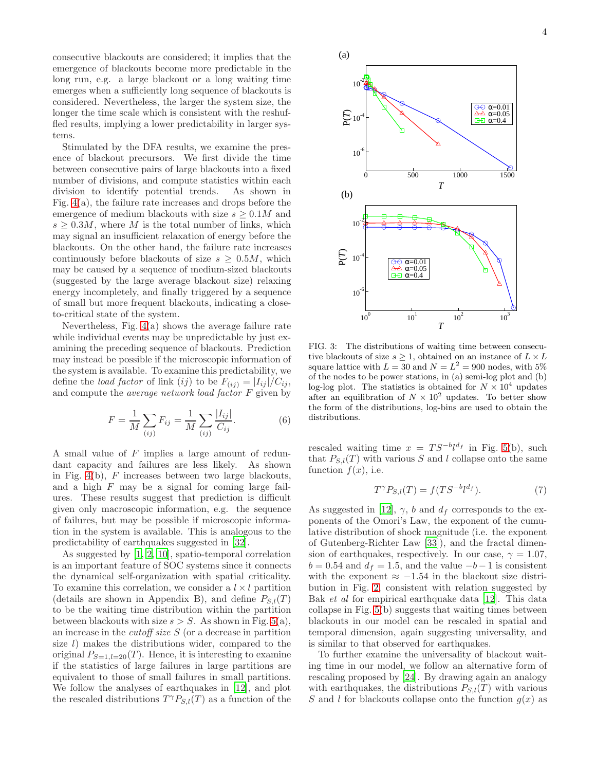consecutive blackouts are considered; it implies that the emergence of blackouts become more predictable in the long run, e.g. a large blackout or a long waiting time emerges when a sufficiently long sequence of blackouts is considered. Nevertheless, the larger the system size, the longer the time scale which is consistent with the reshuffled results, implying a lower predictability in larger systems.

Stimulated by the DFA results, we examine the presence of blackout precursors. We first divide the time between consecutive pairs of large blackouts into a fixed number of divisions, and compute statistics within each division to identify potential trends. As shown in Fig. [4\(](#page-4-0)a), the failure rate increases and drops before the emergence of medium blackouts with size  $s \geq 0.1M$  and  $s \geq 0.3M$ , where M is the total number of links, which may signal an insufficient relaxation of energy before the blackouts. On the other hand, the failure rate increases continuously before blackouts of size  $s \geq 0.5M$ , which may be caused by a sequence of medium-sized blackouts (suggested by the large average blackout size) relaxing energy incompletely, and finally triggered by a sequence of small but more frequent blackouts, indicating a closeto-critical state of the system.

Nevertheless, Fig. [4\(](#page-4-0)a) shows the average failure rate while individual events may be unpredictable by just examining the preceding sequence of blackouts. Prediction may instead be possible if the microscopic information of the system is available. To examine this predictability, we define the *load factor* of link (ij) to be  $F_{(ii)} = |I_{ii}|/C_{ii}$ , and compute the *average network load factor*  $F$  given by

$$
F = \frac{1}{M} \sum_{(ij)} F_{ij} = \frac{1}{M} \sum_{(ij)} \frac{|I_{ij}|}{C_{ij}}.
$$
 (6)

A small value of F implies a large amount of redundant capacity and failures are less likely. As shown in Fig.  $4(b)$  $4(b)$ , F increases between two large blackouts, and a high  $F$  may be a signal for coming large failures. These results suggest that prediction is difficult given only macroscopic information, e.g. the sequence of failures, but may be possible if microscopic information in the system is available. This is analogous to the predictability of earthquakes suggested in [\[32](#page-10-11)].

As suggested by [\[1](#page-9-0), [2,](#page-9-1) [10](#page-9-9)], spatio-temporal correlation is an important feature of SOC systems since it connects the dynamical self-organization with spatial criticality. To examine this correlation, we consider a  $l \times l$  partition (details are shown in Appendix B), and define  $P_{S,l}(T)$ to be the waiting time distribution within the partition between blackouts with size  $s > S$ . As shown in Fig. [5\(](#page-5-0)a), an increase in the cutoff size S (or a decrease in partition size  $l$ ) makes the distributions wider, compared to the original  $P_{S=1,l=20}(T)$ . Hence, it is interesting to examine if the statistics of large failures in large partitions are equivalent to those of small failures in small partitions. We follow the analyses of earthquakes in [\[12](#page-9-11)], and plot the rescaled distributions  $T^{\gamma}P_{S,l}(T)$  as a function of the



<span id="page-3-0"></span>FIG. 3: The distributions of waiting time between consecutive blackouts of size  $s \geq 1$ , obtained on an instance of  $L \times L$ square lattice with  $L = 30$  and  $N = L^2 = 900$  nodes, with 5% of the nodes to be power stations, in (a) semi-log plot and (b) log-log plot. The statistics is obtained for  $N \times 10^4$  updates after an equilibration of  $N \times 10^2$  updates. To better show the form of the distributions, log-bins are used to obtain the distributions.

<span id="page-3-1"></span>rescaled waiting time  $x = TS^{-b}l^{d_f}$  in Fig. [5\(](#page-5-0)b), such that  $P_{S,l}(T)$  with various S and l collapse onto the same function  $f(x)$ , i.e.

<span id="page-3-2"></span>
$$
T^{\gamma}P_{S,l}(T) = f(TS^{-b}l^{d_f}).\tag{7}
$$

As suggested in [\[12\]](#page-9-11),  $\gamma$ , b and  $d_f$  corresponds to the exponents of the Omori's Law, the exponent of the cumulative distribution of shock magnitude (i.e. the exponent of Gutenberg-Richter Law [\[33\]](#page-10-12)), and the fractal dimension of earthquakes, respectively. In our case,  $\gamma = 1.07$ ,  $b = 0.54$  and  $d_f = 1.5$ , and the value  $-b-1$  is consistent with the exponent  $\approx -1.54$  in the blackout size distribution in Fig. [2,](#page-2-1) consistent with relation suggested by Bak et al for empirical earthquake data [\[12\]](#page-9-11). This data collapse in Fig. [5\(](#page-5-0)b) suggests that waiting times between blackouts in our model can be rescaled in spatial and temporal dimension, again suggesting universality, and is similar to that observed for earthquakes.

To further examine the universality of blackout waiting time in our model, we follow an alternative form of rescaling proposed by [\[24](#page-10-4)]. By drawing again an analogy with earthquakes, the distributions  $P_{S,l}(T)$  with various S and l for blackouts collapse onto the function  $g(x)$  as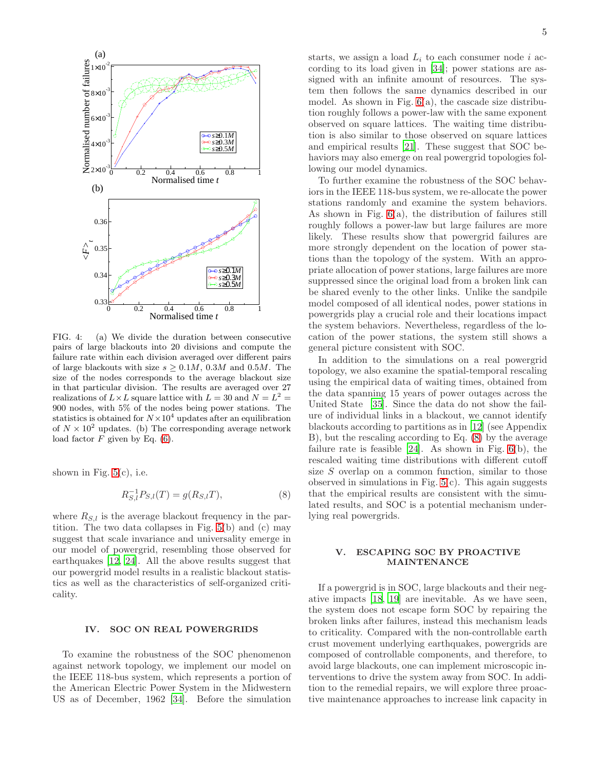

<span id="page-4-0"></span>FIG. 4: (a) We divide the duration between consecutive pairs of large blackouts into 20 divisions and compute the failure rate within each division averaged over different pairs of large blackouts with size  $s > 0.1M$ , 0.3M and 0.5M. The size of the nodes corresponds to the average blackout size in that particular division. The results are averaged over 27 realizations of  $L \times L$  square lattice with  $L = 30$  and  $N = L^2 =$ 900 nodes, with 5% of the nodes being power stations. The statistics is obtained for  $N \times 10^4$  updates after an equilibration of  $N \times 10^2$  updates. (b) The corresponding average network load factor  $F$  given by Eq. [\(6\)](#page-3-1).

shown in Fig.  $5(c)$  $5(c)$ , i.e.

$$
R_{S,l}^{-1}P_{S,l}(T) = g(R_{S,l}T),
$$
\n(8)

where  $R_{S,l}$  is the average blackout frequency in the partition. The two data collapses in Fig. [5\(](#page-5-0)b) and (c) may suggest that scale invariance and universality emerge in our model of powergrid, resembling those observed for earthquakes [\[12](#page-9-11), [24\]](#page-10-4). All the above results suggest that our powergrid model results in a realistic blackout statistics as well as the characteristics of self-organized criticality.

### IV. SOC ON REAL POWERGRIDS

To examine the robustness of the SOC phenomenon against network topology, we implement our model on the IEEE 118-bus system, which represents a portion of the American Electric Power System in the Midwestern US as of December, 1962 [\[34\]](#page-10-13). Before the simulation

starts, we assign a load  $L_i$  to each consumer node i according to its load given in [\[34\]](#page-10-13); power stations are assigned with an infinite amount of resources. The system then follows the same dynamics described in our model. As shown in Fig.  $6(a)$  $6(a)$ , the cascade size distribution roughly follows a power-law with the same exponent observed on square lattices. The waiting time distribution is also similar to those observed on square lattices and empirical results [\[21\]](#page-10-1). These suggest that SOC behaviors may also emerge on real powergrid topologies following our model dynamics.

To further examine the robustness of the SOC behaviors in the IEEE 118-bus system, we re-allocate the power stations randomly and examine the system behaviors. As shown in Fig. [6\(](#page-6-0)a), the distribution of failures still roughly follows a power-law but large failures are more likely. These results show that powergrid failures are more strongly dependent on the location of power stations than the topology of the system. With an appropriate allocation of power stations, large failures are more suppressed since the original load from a broken link can be shared evenly to the other links. Unlike the sandpile model composed of all identical nodes, power stations in powergrids play a crucial role and their locations impact the system behaviors. Nevertheless, regardless of the location of the power stations, the system still shows a general picture consistent with SOC.

In addition to the simulations on a real powergrid topology, we also examine the spatial-temporal rescaling using the empirical data of waiting times, obtained from the data spanning 15 years of power outages across the United State [\[35\]](#page-10-14). Since the data do not show the failure of individual links in a blackout, we cannot identify blackouts according to partitions as in [\[12](#page-9-11)] (see Appendix B), but the rescaling according to Eq. [\(8\)](#page-4-1) by the average failure rate is feasible  $[24]$ . As shown in Fig.  $6(b)$  $6(b)$ , the rescaled waiting time distributions with different cutoff size S overlap on a common function, similar to those observed in simulations in Fig.  $5(c)$  $5(c)$ . This again suggests that the empirical results are consistent with the simulated results, and SOC is a potential mechanism underlying real powergrids.

# <span id="page-4-1"></span>V. ESCAPING SOC BY PROACTIVE MAINTENANCE

If a powergrid is in SOC, large blackouts and their negative impacts [\[18,](#page-9-17) [19\]](#page-9-18) are inevitable. As we have seen, the system does not escape form SOC by repairing the broken links after failures, instead this mechanism leads to criticality. Compared with the non-controllable earth crust movement underlying earthquakes, powergrids are composed of controllable components, and therefore, to avoid large blackouts, one can implement microscopic interventions to drive the system away from SOC. In addition to the remedial repairs, we will explore three proactive maintenance approaches to increase link capacity in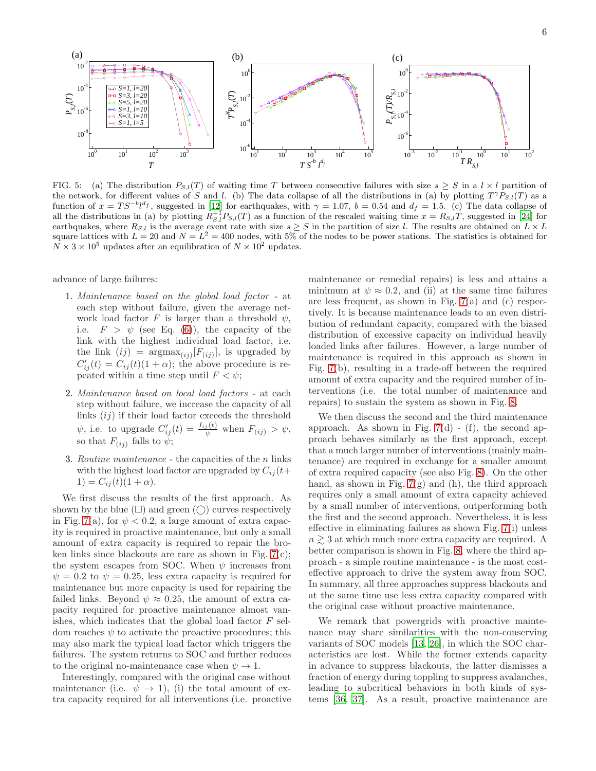

<span id="page-5-0"></span>FIG. 5: (a) The distribution  $P_{S,l}(T)$  of waiting time T between consecutive failures with size  $s \geq S$  in a  $l \times l$  partition of the network, for different values of S and l. (b) The data collapse of all the distributions in (a) by plotting  $T^{\gamma}P_{S,l}(T)$  as a function of  $x = TS^{-b}l^{d_f}$ , suggested in [\[12](#page-9-11)] for earthquakes, with  $\gamma = 1.07$ ,  $b = 0.54$  and  $d_f = 1.5$ . (c) The data collapse of all the distributions in (a) by plotting  $R_{S,l}^{-1}P_{S,l}(T)$  as a function of the rescaled waiting time  $x = R_{S,l}T$ , suggested in [\[24](#page-10-4)] for earthquakes, where  $R_{S,l}$  is the average event rate with size  $s \geq S$  in the partition of size l. The results are obtained on  $L \times L$ square lattices with  $L = 20$  and  $N = L^2 = 400$  nodes, with 5% of the nodes to be power stations. The statistics is obtained for  $N \times 3 \times 10^5$  updates after an equilibration of  $N \times 10^2$  updates.

advance of large failures:

- 1. Maintenance based on the global load factor at each step without failure, given the average network load factor F is larger than a threshold  $\psi$ , i.e.  $F > \psi$  (see Eq. [\(6\)](#page-3-1)), the capacity of the link with the highest individual load factor, i.e. the link  $(ij)$  =  $argmax_{(ij)}[F_{(ij)}]$ , is upgraded by  $C'_{ij}(t) = C_{ij}(t)(1+\alpha)$ ; the above procedure is repeated within a time step until  $F < \psi$ ;
- 2. Maintenance based on local load factors at each step without failure, we increase the capacity of all links  $\left(ij\right)$  if their load factor exceeds the threshold  $\psi$ , i.e. to upgrade  $C'_{ij}(t) = \frac{I_{ij}(t)}{\psi}$  when  $F_{(ij)} > \psi$ , so that  $F_{(ij)}$  falls to  $\psi$ ;
- 3. Routine maintenance the capacities of the n links with the highest load factor are upgraded by  $C_{ij}(t+)$ 1) =  $C_{ij}(t)(1 + \alpha)$ .

We first discuss the results of the first approach. As shown by the blue  $(\square)$  and green  $(\cap)$  curves respectively in Fig. [7\(](#page-7-0)a), for  $\psi < 0.2$ , a large amount of extra capacity is required in proactive maintenance, but only a small amount of extra capacity is required to repair the broken links since blackouts are rare as shown in Fig. [7\(](#page-7-0)c); the system escapes from SOC. When  $\psi$  increases from  $\psi = 0.2$  to  $\psi = 0.25$ , less extra capacity is required for maintenance but more capacity is used for repairing the failed links. Beyond  $\psi \approx 0.25$ , the amount of extra capacity required for proactive maintenance almost vanishes, which indicates that the global load factor  $F$  seldom reaches  $\psi$  to activate the proactive procedures; this may also mark the typical load factor which triggers the failures. The system returns to SOC and further reduces to the original no-maintenance case when  $\psi \to 1$ .

Interestingly, compared with the original case without maintenance (i.e.  $\psi \rightarrow 1$ ), (i) the total amount of extra capacity required for all interventions (i.e. proactive

maintenance or remedial repairs) is less and attains a minimum at  $\psi \approx 0.2$ , and (ii) at the same time failures are less frequent, as shown in Fig. [7\(](#page-7-0)a) and (c) respectively. It is because maintenance leads to an even distribution of redundant capacity, compared with the biased distribution of excessive capacity on individual heavily loaded links after failures. However, a large number of maintenance is required in this approach as shown in Fig. [7\(](#page-7-0)b), resulting in a trade-off between the required amount of extra capacity and the required number of interventions (i.e. the total number of maintenance and repairs) to sustain the system as shown in Fig. [8.](#page-7-1)

We then discuss the second and the third maintenance approach. As shown in Fig.  $7(d)$  $7(d)$  - (f), the second approach behaves similarly as the first approach, except that a much larger number of interventions (mainly maintenance) are required in exchange for a smaller amount of extra required capacity (see also Fig. [8\)](#page-7-1). On the other hand, as shown in Fig.  $7(g)$  $7(g)$  and (h), the third approach requires only a small amount of extra capacity achieved by a small number of interventions, outperforming both the first and the second approach. Nevertheless, it is less effective in eliminating failures as shown Fig. [7\(](#page-7-0)i) unless  $n \geq 3$  at which much more extra capacity are required. A better comparison is shown in Fig. [8,](#page-7-1) where the third approach - a simple routine maintenance - is the most costeffective approach to drive the system away from SOC. In summary, all three approaches suppress blackouts and at the same time use less extra capacity compared with the original case without proactive maintenance.

We remark that powergrids with proactive maintenance may share similarities with the non-conserving variants of SOC models [\[13](#page-9-12), [26](#page-10-6)], in which the SOC characteristics are lost. While the former extends capacity in advance to suppress blackouts, the latter dismisses a fraction of energy during toppling to suppress avalanches, leading to subcritical behaviors in both kinds of systems [\[36](#page-10-15), [37\]](#page-10-16). As a result, proactive maintenance are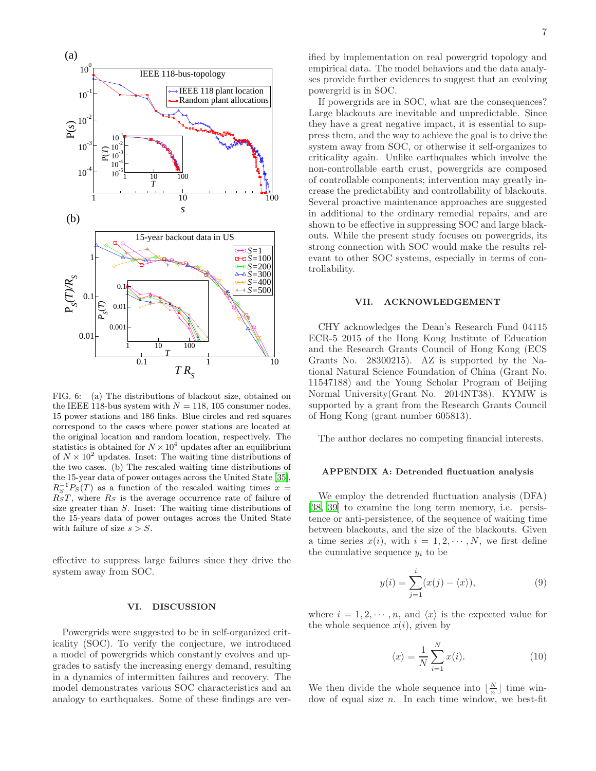

<span id="page-6-0"></span>FIG. 6: (a) The distributions of blackout size, obtained on the IEEE 118-bus system with  $N = 118$ , 105 consumer nodes, 15 power stations and 186 links. Blue circles and red squares correspond to the cases where power stations are located at the original location and random location, respectively. The statistics is obtained for  $N \times 10^4$  updates after an equilibrium of  $N \times 10^2$  updates. Inset: The waiting time distributions of the two cases. (b) The rescaled waiting time distributions of the 15-year data of power outages across the United State [\[35\]](#page-10-14),  $R_S^{-1}P_S(T)$  as a function of the rescaled waiting times  $x =$  $R<sub>S</sub>T$ , where  $R<sub>S</sub>$  is the average occurrence rate of failure of size greater than S. Inset: The waiting time distributions of the 15-years data of power outages across the United State with failure of size  $s > S$ .

effective to suppress large failures since they drive the system away from SOC.

### VI. DISCUSSION

Powergrids were suggested to be in self-organized criticality (SOC). To verify the conjecture, we introduced a model of powergrids which constantly evolves and upgrades to satisfy the increasing energy demand, resulting in a dynamics of intermitten failures and recovery. The model demonstrates various SOC characteristics and an analogy to earthquakes. Some of these findings are verified by implementation on real powergrid topology and empirical data. The model behaviors and the data analyses provide further evidences to suggest that an evolving powergrid is in SOC.

If powergrids are in SOC, what are the consequences? Large blackouts are inevitable and unpredictable. Since they have a great negative impact, it is essential to suppress them, and the way to achieve the goal is to drive the system away from SOC, or otherwise it self-organizes to criticality again. Unlike earthquakes which involve the non-controllable earth crust, powergrids are composed of controllable components; intervention may greatly increase the predictability and controllability of blackouts. Several proactive maintenance approaches are suggested in additional to the ordinary remedial repairs, and are shown to be effective in suppressing SOC and large blackouts. While the present study focuses on powergrids, its strong connection with SOC would make the results relevant to other SOC systems, especially in terms of controllability.

#### VII. ACKNOWLEDGEMENT

CHY acknowledges the Dean's Research Fund 04115 ECR-5 2015 of the Hong Kong Institute of Education and the Research Grants Council of Hong Kong (ECS Grants No. 28300215). AZ is supported by the National Natural Science Foundation of China (Grant No. 11547188) and the Young Scholar Program of Beijing Normal University(Grant No. 2014NT38). KYMW is supported by a grant from the Research Grants Council of Hong Kong (grant number 605813).

The author declares no competing financial interests.

## APPENDIX A: Detrended fluctuation analysis

We employ the detrended fluctuation analysis (DFA) [\[38,](#page-10-17) [39\]](#page-10-18) to examine the long term memory, i.e. persistence or anti-persistence, of the sequence of waiting time between blackouts, and the size of the blackouts. Given a time series  $x(i)$ , with  $i = 1, 2, \dots, N$ , we first define the cumulative sequence  $y_i$  to be

$$
y(i) = \sum_{j=1}^{i} (x(j) - \langle x \rangle), \tag{9}
$$

where  $i = 1, 2, \dots, n$ , and  $\langle x \rangle$  is the expected value for the whole sequence  $x(i)$ , given by

$$
\langle x \rangle = \frac{1}{N} \sum_{i=1}^{N} x(i). \tag{10}
$$

We then divide the whole sequence into  $\lfloor \frac{N}{n} \rfloor$  time window of equal size  $n$ . In each time window, we best-fit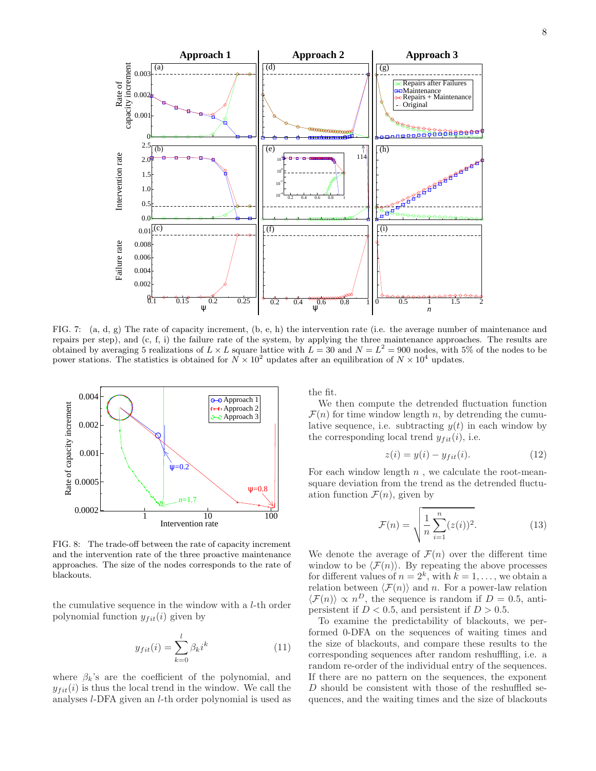

<span id="page-7-0"></span>FIG. 7: (a, d, g) The rate of capacity increment, (b, e, h) the intervention rate (i.e. the average number of maintenance and repairs per step), and (c, f, i) the failure rate of the system, by applying the three maintenance approaches. The results are obtained by averaging 5 realizations of  $L \times L$  square lattice with  $L = 30$  and  $N = L^2 = 900$  nodes, with 5% of the nodes to be power stations. The statistics is obtained for  $N \times 10^2$  updates after an equilibration of  $N \times 10^4$  updates.



<span id="page-7-1"></span>FIG. 8: The trade-off between the rate of capacity increment and the intervention rate of the three proactive maintenance approaches. The size of the nodes corresponds to the rate of blackouts.

the cumulative sequence in the window with a l-th order polynomial function  $y_{fit}(i)$  given by

$$
y_{fit}(i) = \sum_{k=0}^{l} \beta_k i^k \tag{11}
$$

where  $\beta_k$ 's are the coefficient of the polynomial, and  $y_{fit}(i)$  is thus the local trend in the window. We call the analyses l-DFA given an l-th order polynomial is used as the fit.

We then compute the detrended fluctuation function  $\mathcal{F}(n)$  for time window length n, by detrending the cumulative sequence, i.e. subtracting  $y(t)$  in each window by the corresponding local trend  $y_{fit}(i)$ , i.e.

$$
z(i) = y(i) - y_{fit}(i). \tag{12}
$$

For each window length  $n$ , we calculate the root-meansquare deviation from the trend as the detrended fluctuation function  $\mathcal{F}(n)$ , given by

$$
\mathcal{F}(n) = \sqrt{\frac{1}{n} \sum_{i=1}^{n} (z(i))^2}.
$$
 (13)

We denote the average of  $\mathcal{F}(n)$  over the different time window to be  $\langle \mathcal{F}(n) \rangle$ . By repeating the above processes for different values of  $n = 2^k$ , with  $k = 1, \ldots$ , we obtain a relation between  $\langle \mathcal{F}(n) \rangle$  and n. For a power-law relation  $\langle \mathcal{F}(n) \rangle \propto n^D$ , the sequence is random if  $D = 0.5$ , antipersistent if  $D < 0.5$ , and persistent if  $D > 0.5$ .

To examine the predictability of blackouts, we performed 0-DFA on the sequences of waiting times and the size of blackouts, and compare these results to the corresponding sequences after random reshuffling, i.e. a random re-order of the individual entry of the sequences. If there are no pattern on the sequences, the exponent D should be consistent with those of the reshuffled sequences, and the waiting times and the size of blackouts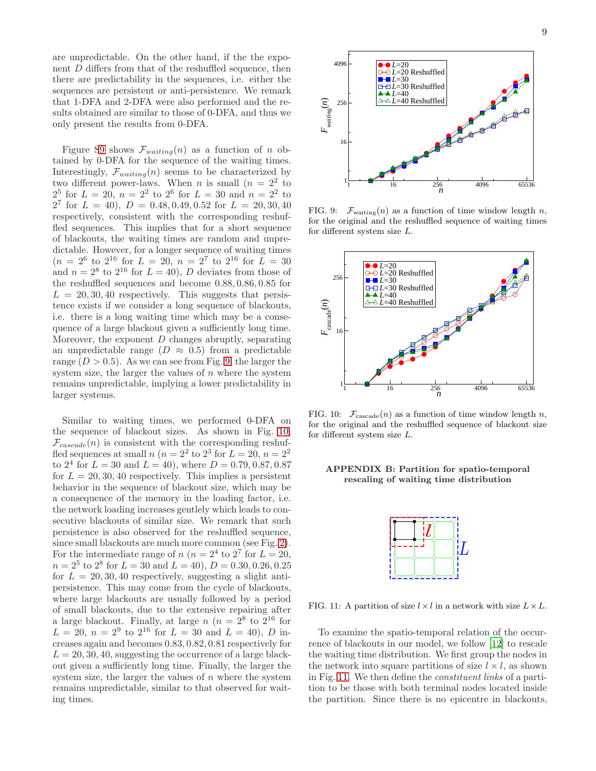are unpredictable. On the other hand, if the the exponent D differs from that of the reshuffled sequence, then there are predictability in the sequences, i.e. either the sequences are persistent or anti-persistence. We remark that 1-DFA and 2-DFA were also performed and the results obtained are similar to those of 0-DFA, and thus we only present the results from 0-DFA.

Figure [S9](#page-8-0) shows  $\mathcal{F}_{waiting}(n)$  as a function of n obtained by 0-DFA for the sequence of the waiting times. Interestingly,  $\mathcal{F}_{waiting}(n)$  seems to be characterized by two different power-laws. When *n* is small  $(n = 2^2$  to  $2^5$  for  $L = 20$ ,  $n = 2^2$  to  $2^6$  for  $L = 30$  and  $n = 2^2$  to  $2^7$  for  $L = 40$ ,  $D = 0.48, 0.49, 0.52$  for  $L = 20, 30, 40$ respectively, consistent with the corresponding reshuffled sequences. This implies that for a short sequence of blackouts, the waiting times are random and unpredictable. However, for a longer sequence of waiting times  $(n = 2^6 \text{ to } 2^{16} \text{ for } L = 20, n = 2^7 \text{ to } 2^{16} \text{ for } L = 30$ and  $n = 2^8$  to  $2^{16}$  for  $L = 40$ ), D deviates from those of the reshuffled sequences and become 0.88, 0.86, 0.85 for  $L = 20, 30, 40$  respectively. This suggests that persistence exists if we consider a long sequence of blackouts, i.e. there is a long waiting time which may be a consequence of a large blackout given a sufficiently long time. Moreover, the exponent  $D$  changes abruptly, separating an unpredictable range  $(D \approx 0.5)$  from a predictable range  $(D > 0.5)$ . As we can see from Fig. [9,](#page-8-0) the larger the system size, the larger the values of  $n$  where the system remains unpredictable, implying a lower predictability in larger systems.

Similar to waiting times, we performed 0-DFA on the sequence of blackout sizes. As shown in Fig. [10,](#page-8-1)  $\mathcal{F}_{cascade}(n)$  is consistent with the corresponding reshuffled sequences at small  $n (n = 2^2$  to  $2^3$  for  $L = 20, n = 2^2$ to  $2^4$  for  $L = 30$  and  $L = 40$ ), where  $D = 0.79, 0.87, 0.87$ for  $L = 20, 30, 40$  respectively. This implies a persistent behavior in the sequence of blackout size, which may be a consequence of the memory in the loading factor, i.e. the network loading increases gentlely which leads to consecutive blackouts of similar size. We remark that such persistence is also observed for the reshuffled sequence, since small blackouts are much more common (see Fig. [2\)](#page-2-1). For the intermediate range of  $n (n = 2<sup>4</sup>$  to  $2<sup>7</sup>$  for  $L = 20$ ,  $n = 2^5$  to  $2^8$  for  $L = 30$  and  $L = 40$ ),  $D = 0.30, 0.26, 0.25$ for  $L = 20, 30, 40$  respectively, suggesting a slight antipersistence. This may come from the cycle of blackouts, where large blackouts are usually followed by a period of small blackouts, due to the extensive repairing after a large blackout. Finally, at large  $n (n = 2^8)$  to  $2^{16}$  for  $L = 20, n = 2<sup>9</sup>$  to  $2<sup>16</sup>$  for  $L = 30$  and  $L = 40$ ), D increases again and becomes 0.83, 0.82, 0.81 respectively for  $L = 20, 30, 40$ , suggesting the occurrence of a large blackout given a sufficiently long time. Finally, the larger the system size, the larger the values of  $n$  where the system remains unpredictable, similar to that observed for waiting times.



<span id="page-8-0"></span>FIG. 9:  $\mathcal{F}_{\text{waiting}}(n)$  as a function of time window length n, for the original and the reshuffled sequence of waiting times for different system size L.



<span id="page-8-1"></span>FIG. 10:  $\mathcal{F}_{\text{cascade}}(n)$  as a function of time window length n, for the original and the reshuffled sequence of blackout size for different system size L.

### APPENDIX B: Partition for spatio-temporal rescaling of waiting time distribution



<span id="page-8-2"></span>FIG. 11: A partition of size  $l \times l$  in a network with size  $L \times L$ .

To examine the spatio-temporal relation of the occurrence of blackouts in our model, we follow [\[12](#page-9-11)] to rescale the waiting time distribution. We first group the nodes in the network into square partitions of size  $l \times l$ , as shown in Fig. [11.](#page-8-2) We then define the constituent links of a partition to be those with both terminal nodes located inside the partition. Since there is no epicentre in blackouts,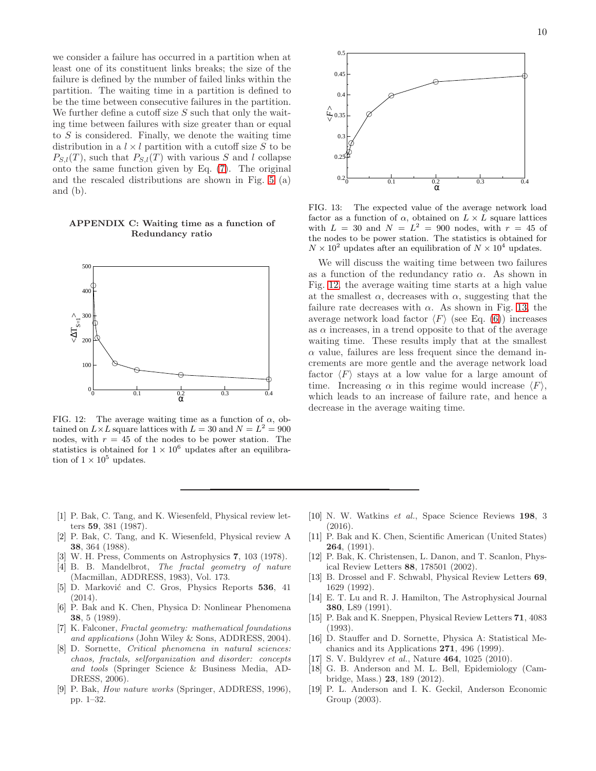we consider a failure has occurred in a partition when at least one of its constituent links breaks; the size of the failure is defined by the number of failed links within the partition. The waiting time in a partition is defined to be the time between consecutive failures in the partition. We further define a cutoff size  $S$  such that only the waiting time between failures with size greater than or equal to S is considered. Finally, we denote the waiting time distribution in a  $l \times l$  partition with a cutoff size S to be  $P_{S,l}(T)$ , such that  $P_{S,l}(T)$  with various S and l collapse onto the same function given by Eq. [\(7\)](#page-3-2). The original and the rescaled distributions are shown in Fig. [5](#page-5-0) (a) and (b).

# APPENDIX C: Waiting time as a function of Redundancy ratio



<span id="page-9-19"></span>FIG. 12: The average waiting time as a function of  $\alpha$ , obtained on  $L \times L$  square lattices with  $L = 30$  and  $N = L^2 = 900$ nodes, with  $r = 45$  of the nodes to be power station. The statistics is obtained for  $1 \times 10^6$  updates after an equilibration of  $1 \times 10^5$  updates.

- <span id="page-9-0"></span>[1] P. Bak, C. Tang, and K. Wiesenfeld, Physical review letters 59, 381 (1987).
- <span id="page-9-1"></span>[2] P. Bak, C. Tang, and K. Wiesenfeld, Physical review A 38, 364 (1988).
- <span id="page-9-2"></span>[3] W. H. Press, Comments on Astrophysics 7, 103 (1978).
- <span id="page-9-3"></span>[4] B. B. Mandelbrot, The fractal geometry of nature (Macmillan, ADDRESS, 1983), Vol. 173.
- <span id="page-9-4"></span>[5] D. Marković and C. Gros, Physics Reports 536, 41  $(2014).$
- <span id="page-9-5"></span>[6] P. Bak and K. Chen, Physica D: Nonlinear Phenomena 38, 5 (1989).
- <span id="page-9-6"></span>[7] K. Falconer, Fractal geometry: mathematical foundations and applications (John Wiley & Sons, ADDRESS, 2004).
- <span id="page-9-7"></span>[8] D. Sornette, Critical phenomena in natural sciences: chaos, fractals, selforganization and disorder: concepts and tools (Springer Science & Business Media, AD-DRESS, 2006).
- <span id="page-9-8"></span>[9] P. Bak, How nature works (Springer, ADDRESS, 1996), pp. 1–32.



<span id="page-9-20"></span>FIG. 13: The expected value of the average network load factor as a function of  $\alpha$ , obtained on  $L \times L$  square lattices with  $L = 30$  and  $N = L^2 = 900$  nodes, with  $r = 45$  of the nodes to be power station. The statistics is obtained for  $N \times 10^2$  updates after an equilibration of  $N \times 10^4$  updates.

We will discuss the waiting time between two failures as a function of the redundancy ratio  $\alpha$ . As shown in Fig. [12,](#page-9-19) the average waiting time starts at a high value at the smallest  $\alpha$ , decreases with  $\alpha$ , suggesting that the failure rate decreases with  $\alpha$ . As shown in Fig. [13,](#page-9-20) the average network load factor  $\langle F \rangle$  (see Eq. [\(6\)](#page-3-1)) increases as  $\alpha$  increases, in a trend opposite to that of the average waiting time. These results imply that at the smallest  $\alpha$  value, failures are less frequent since the demand increments are more gentle and the average network load factor  $\langle F \rangle$  stays at a low value for a large amount of time. Increasing  $\alpha$  in this regime would increase  $\langle F \rangle$ , which leads to an increase of failure rate, and hence a decrease in the average waiting time.

- <span id="page-9-9"></span>[10] N. W. Watkins et al., Space Science Reviews 198, 3 (2016).
- <span id="page-9-10"></span>[11] P. Bak and K. Chen, Scientific American (United States) 264, (1991).
- <span id="page-9-11"></span>[12] P. Bak, K. Christensen, L. Danon, and T. Scanlon, Physical Review Letters 88, 178501 (2002).
- <span id="page-9-12"></span>[13] B. Drossel and F. Schwabl, Physical Review Letters 69, 1629 (1992).
- <span id="page-9-13"></span>[14] E. T. Lu and R. J. Hamilton, The Astrophysical Journal 380, L89 (1991).
- <span id="page-9-14"></span>[15] P. Bak and K. Sneppen, Physical Review Letters 71, 4083 (1993).
- <span id="page-9-15"></span>[16] D. Stauffer and D. Sornette, Physica A: Statistical Mechanics and its Applications 271, 496 (1999).
- <span id="page-9-16"></span>[17] S. V. Buldyrev et al., Nature **464**, 1025 (2010).
- <span id="page-9-17"></span>[18] G. B. Anderson and M. L. Bell, Epidemiology (Cambridge, Mass.) 23, 189 (2012).
- <span id="page-9-18"></span>[19] P. L. Anderson and I. K. Geckil, Anderson Economic Group (2003).